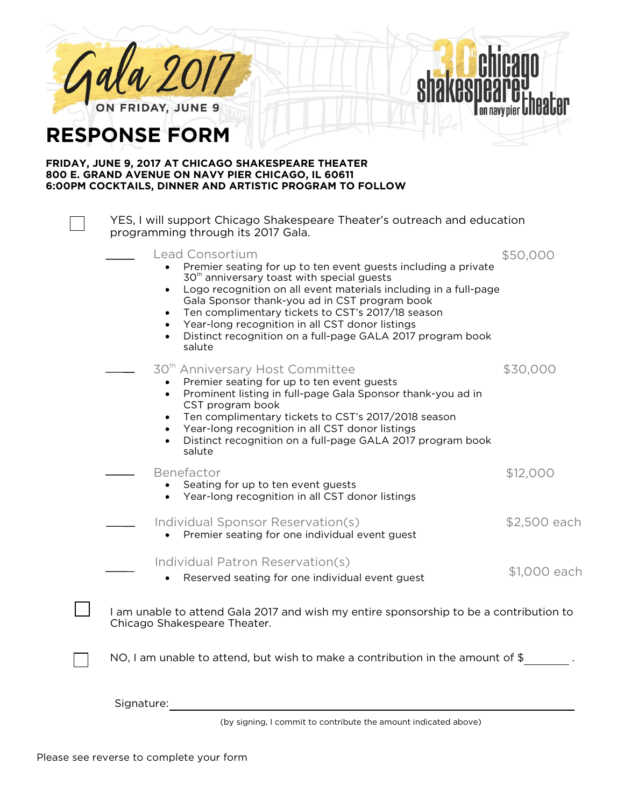

**RESPONSE FORM**

## **FRIDAY, JUNE 9, 2017 AT CHICAGO SHAKESPEARE THEATER 800 E. GRAND AVENUE ON NAVY PIER CHICAGO, IL 60611 6:00PM COCKTAILS, DINNER AND ARTISTIC PROGRAM TO FOLLOW**

YES, I will support Chicago Shakespeare Theater's outreach and education programming through its 2017 Gala. Premier seating for up to ten event guests including a private 30<sup>th</sup> anniversary toast with special guests • Logo recognition on all event materials including in a full-page Gala Sponsor thank-you ad in CST program book Ten complimentary tickets to CST's 2017/18 season Year-long recognition in all CST donor listings • Distinct recognition on a full-page GALA 2017 program book salute • Premier seating for up to ten event guests • Prominent listing in full-page Gala Sponsor thank-you ad in CST program book • Ten complimentary tickets to CST's 2017/2018 season • Year-long recognition in all CST donor listings • Distinct recognition on a full-page GALA 2017 program book salute Benefactor \$12,000 • Seating for up to ten event guests • Year-long recognition in all CST donor listings • Premier seating for one individual event guest • Reserved seating for one individual event guest I am unable to attend Gala 2017 and wish my entire sponsorship to be a contribution to Chicago Shakespeare Theater. NO, I am unable to attend, but wish to make a contribution in the amount of  $\frac{1}{2}$  . Signature: Lead Consortium 30<sup>th</sup> Anniversary Host Committee \$50,000 \$30,000 Individual Sponsor Reservation(s)  $$2,500$  each Individual Patron Reservation(s)<br> **Example ating for an individual sunt waster** \$1,000 each

(by signing, I commit to contribute the amount indicated above)